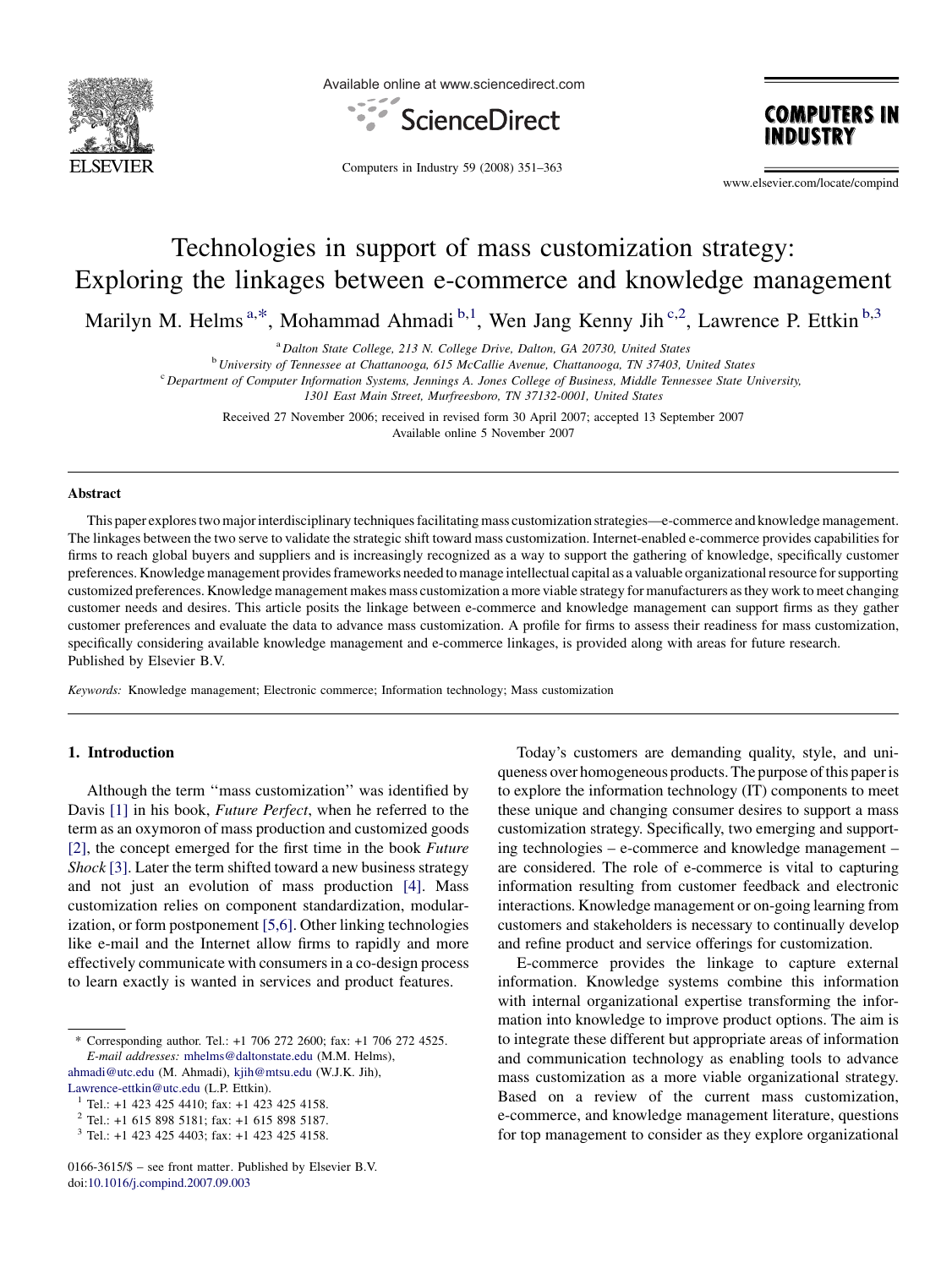

Available online at www.sciencedirect.com





Computers in Industry 59 (2008) 351–363

www.elsevier.com/locate/compind

# Technologies in support of mass customization strategy: Exploring the linkages between e-commerce and knowledge management

Marilyn M. Helms<sup>a,\*</sup>, Mohammad Ahmadi b,1, Wen Jang Kenny Jih<sup>c,2</sup>, Lawrence P. Ettkin b,3

<sup>a</sup> Dalton State College, 213 N. College Drive, Dalton, GA 20730, United States

<sup>b</sup> University of Tennessee at Chattanooga, 615 McCallie Avenue, Chattanooga, TN 37403, United States

<sup>c</sup> Department of Computer Information Systems, Jennings A. Jones College of Business, Middle Tennessee State University,

1301 East Main Street, Murfreesboro, TN 37132-0001, United States

Received 27 November 2006; received in revised form 30 April 2007; accepted 13 September 2007 Available online 5 November 2007

#### Abstract

This paper explores two major interdisciplinary techniques facilitating mass customization strategies—e-commerce and knowledge management. The linkages between the two serve to validate the strategic shift toward mass customization. Internet-enabled e-commerce provides capabilities for firms to reach global buyers and suppliers and is increasingly recognized as a way to support the gathering of knowledge, specifically customer preferences. Knowledge management provides frameworks needed to manage intellectual capital as a valuable organizational resource for supporting customized preferences. Knowledge management makes mass customization a more viable strategy for manufacturers as they work to meet changing customer needs and desires. This article posits the linkage between e-commerce and knowledge management can support firms as they gather customer preferences and evaluate the data to advance mass customization. A profile for firms to assess their readiness for mass customization, specifically considering available knowledge management and e-commerce linkages, is provided along with areas for future research. Published by Elsevier B.V.

Keywords: Knowledge management; Electronic commerce; Information technology; Mass customization

#### 1. Introduction

Although the term ''mass customization'' was identified by Davis [\[1\]](#page--1-0) in his book, Future Perfect, when he referred to the term as an oxymoron of mass production and customized goods [\[2\]](#page--1-0), the concept emerged for the first time in the book Future Shock [\[3\].](#page--1-0) Later the term shifted toward a new business strategy and not just an evolution of mass production [\[4\].](#page--1-0) Mass customization relies on component standardization, modularization, or form postponement [\[5,6\]](#page--1-0). Other linking technologies like e-mail and the Internet allow firms to rapidly and more effectively communicate with consumers in a co-design process to learn exactly is wanted in services and product features.

\* Corresponding author. Tel.: +1 706 272 2600; fax: +1 706 272 4525. E-mail addresses: [mhelms@daltonstate.edu](mailto:mhelms@daltonstate.edu) (M.M. Helms), [ahmadi@utc.edu](mailto:ahmadi@utc.edu) (M. Ahmadi), [kjih@mtsu.edu](mailto:kjih@mtsu.edu) (W.J.K. Jih),

Today's customers are demanding quality, style, and uniqueness over homogeneous products. The purpose of this paper is to explore the information technology (IT) components to meet these unique and changing consumer desires to support a mass customization strategy. Specifically, two emerging and supporting technologies – e-commerce and knowledge management – are considered. The role of e-commerce is vital to capturing information resulting from customer feedback and electronic interactions. Knowledge management or on-going learning from customers and stakeholders is necessary to continually develop and refine product and service offerings for customization.

E-commerce provides the linkage to capture external information. Knowledge systems combine this information with internal organizational expertise transforming the information into knowledge to improve product options. The aim is to integrate these different but appropriate areas of information and communication technology as enabling tools to advance mass customization as a more viable organizational strategy. Based on a review of the current mass customization, e-commerce, and knowledge management literature, questions for top management to consider as they explore organizational

[Lawrence-ettkin@utc.edu](mailto:Lawrence-ettkin@utc.edu) (L.P. Ettkin).<br><sup>1</sup> Tel.: +1 423 425 4410; fax: +1 423 425 4158.<br><sup>2</sup> Tel.: +1 615 808 5181; fax: +1 615 808 5187.

<sup>2</sup> Tel.: +1 615 898 5181; fax: +1 615 898 5187.

 $3$  Tel.: +1 423 425 4403; fax: +1 423 425 4158.

<sup>0166-3615/\$ –</sup> see front matter. Published by Elsevier B.V. doi:[10.1016/j.compind.2007.09.003](http://dx.doi.org/10.1016/j.compind.2007.09.003)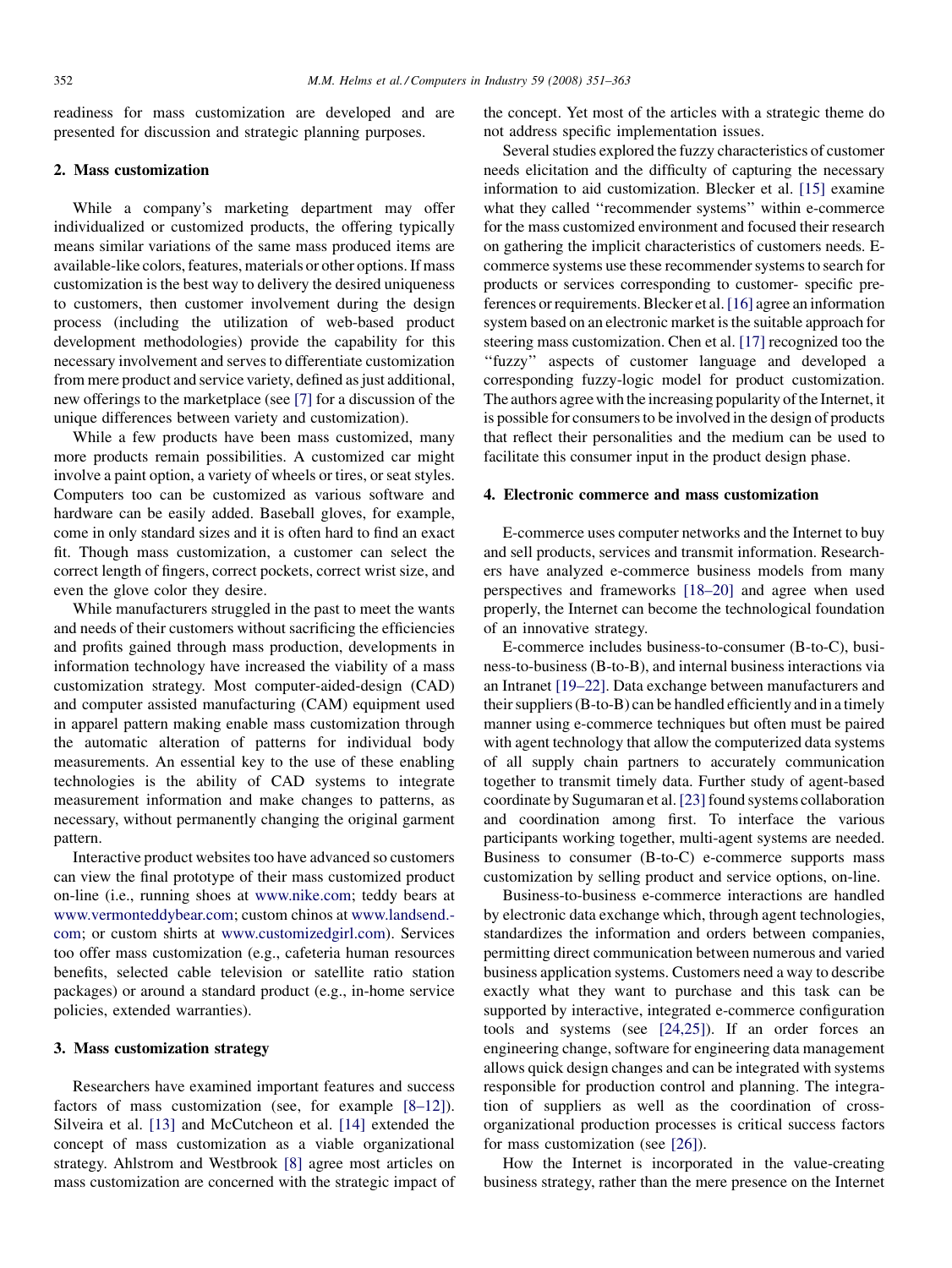readiness for mass customization are developed and are presented for discussion and strategic planning purposes.

#### 2. Mass customization

While a company's marketing department may offer individualized or customized products, the offering typically means similar variations of the same mass produced items are available-like colors, features, materials or other options. If mass customization is the best way to delivery the desired uniqueness to customers, then customer involvement during the design process (including the utilization of web-based product development methodologies) provide the capability for this necessary involvement and serves to differentiate customization from mere product and service variety, defined as just additional, new offerings to the marketplace (see [\[7\]](#page--1-0) for a discussion of the unique differences between variety and customization).

While a few products have been mass customized, many more products remain possibilities. A customized car might involve a paint option, a variety of wheels or tires, or seat styles. Computers too can be customized as various software and hardware can be easily added. Baseball gloves, for example, come in only standard sizes and it is often hard to find an exact fit. Though mass customization, a customer can select the correct length of fingers, correct pockets, correct wrist size, and even the glove color they desire.

While manufacturers struggled in the past to meet the wants and needs of their customers without sacrificing the efficiencies and profits gained through mass production, developments in information technology have increased the viability of a mass customization strategy. Most computer-aided-design (CAD) and computer assisted manufacturing (CAM) equipment used in apparel pattern making enable mass customization through the automatic alteration of patterns for individual body measurements. An essential key to the use of these enabling technologies is the ability of CAD systems to integrate measurement information and make changes to patterns, as necessary, without permanently changing the original garment pattern.

Interactive product websites too have advanced so customers can view the final prototype of their mass customized product on-line (i.e., running shoes at [www.nike.com;](http://www.nike.com/) teddy bears at [www.vermonteddybear.com](http://www.vermonteddybear.com/); custom chinos at [www.landsend.](http://www.landsend.com/) [com;](http://www.landsend.com/) or custom shirts at [www.customizedgirl.com](http://www.customizedgirl.com/)). Services too offer mass customization (e.g., cafeteria human resources benefits, selected cable television or satellite ratio station packages) or around a standard product (e.g., in-home service policies, extended warranties).

## 3. Mass customization strategy

Researchers have examined important features and success factors of mass customization (see, for example [\[8–12\]\)](#page--1-0). Silveira et al. [\[13\]](#page--1-0) and McCutcheon et al. [\[14\]](#page--1-0) extended the concept of mass customization as a viable organizational strategy. Ahlstrom and Westbrook [\[8\]](#page--1-0) agree most articles on mass customization are concerned with the strategic impact of the concept. Yet most of the articles with a strategic theme do not address specific implementation issues.

Several studies explored the fuzzy characteristics of customer needs elicitation and the difficulty of capturing the necessary information to aid customization. Blecker et al. [\[15\]](#page--1-0) examine what they called ''recommender systems'' within e-commerce for the mass customized environment and focused their research on gathering the implicit characteristics of customers needs. Ecommerce systems use these recommender systems to search for products or services corresponding to customer- specific preferences or requirements. Blecker et al.[\[16\]](#page--1-0) agree an information system based on an electronic market is the suitable approach for steering mass customization. Chen et al. [\[17\]](#page--1-0) recognized too the "fuzzy" aspects of customer language and developed a corresponding fuzzy-logic model for product customization. The authors agree with the increasing popularity of the Internet, it is possible for consumers to be involved in the design of products that reflect their personalities and the medium can be used to facilitate this consumer input in the product design phase.

### 4. Electronic commerce and mass customization

E-commerce uses computer networks and the Internet to buy and sell products, services and transmit information. Researchers have analyzed e-commerce business models from many perspectives and frameworks [\[18–20\]](#page--1-0) and agree when used properly, the Internet can become the technological foundation of an innovative strategy.

E-commerce includes business-to-consumer (B-to-C), business-to-business (B-to-B), and internal business interactions via an Intranet [\[19–22\]](#page--1-0). Data exchange between manufacturers and their suppliers (B-to-B) can be handled efficiently and in a timely manner using e-commerce techniques but often must be paired with agent technology that allow the computerized data systems of all supply chain partners to accurately communication together to transmit timely data. Further study of agent-based coordinate by Sugumaran et al. [\[23\]](#page--1-0) found systems collaboration and coordination among first. To interface the various participants working together, multi-agent systems are needed. Business to consumer (B-to-C) e-commerce supports mass customization by selling product and service options, on-line.

Business-to-business e-commerce interactions are handled by electronic data exchange which, through agent technologies, standardizes the information and orders between companies, permitting direct communication between numerous and varied business application systems. Customers need a way to describe exactly what they want to purchase and this task can be supported by interactive, integrated e-commerce configuration tools and systems (see [\[24,25\]\)](#page--1-0). If an order forces an engineering change, software for engineering data management allows quick design changes and can be integrated with systems responsible for production control and planning. The integration of suppliers as well as the coordination of crossorganizational production processes is critical success factors for mass customization (see [\[26\]\)](#page--1-0).

How the Internet is incorporated in the value-creating business strategy, rather than the mere presence on the Internet